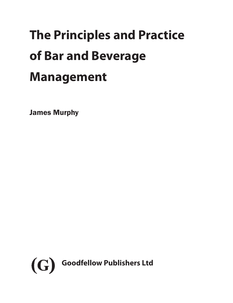# **The Principles and Practice of Bar and Beverage Management**

James Murphy

<span id="page-0-0"></span>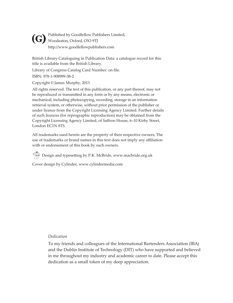<span id="page-1-0"></span>Published by Goodfellow Publishers Limited, Woodeaton, Oxford, OX3 9TJ **(G)** http://www.goodfellowpublishers.com

British Library Cataloguing in Publication Data: a catalogue record for this title is available from the British Library.

Library of Congress Catalog Card Number: on file.

ISBN: 978-1-908999-38-2

Copyright © James Murphy, 2013

All rights reserved. The text of this publication, or any part thereof, may not be reproduced or transmitted in any form or by any means, electronic or mechanical, including photocopying, recording, storage in an information retrieval system, or otherwise, without prior permission of the publisher or under licence from the Copyright Licensing Agency Limited. Further details of such licences (for reprographic reproduction) may be obtained from the Copyright Licensing Agency Limited, of Saffron House, 6–10 Kirby Street, London EC1N 8TS.

All trademarks used herein are the property of their respective owners, The use of trademarks or brand names in this text does not imply any affiliation with or endorsement of this book by such owners.

 $\bigcirc$  Design and typesetting by P.K. McBride, www.macbride.org.uk

Cover design by Cylinder, www.cylindermedia.com

### *Dedication*

To my friends and colleagues of the International Bartenders Association (IBA) and the Dublin Institute of Technology (DIT) who have supported and believed in me throughout my industry and academic career to date. Please accept this dedication as a small token of my deep appreciation.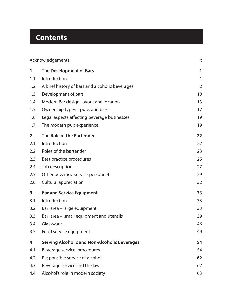## <span id="page-2-0"></span>**Contents**

| Acknowledgements |                                                      | X              |
|------------------|------------------------------------------------------|----------------|
| 1                | The Development of Bars                              | 1              |
| 1.1              | Introduction                                         | 1              |
| 1.2              | A brief history of bars and alcoholic beverages      | $\overline{2}$ |
| 1.3              | Development of bars                                  | 10             |
| 1.4              | Modern Bar design, layout and location               | 13             |
| 1.5              | Ownership types - pubs and bars                      | 17             |
| 1.6              | Legal aspects affecting beverage businesses          | 19             |
| 1.7              | The modern pub experience                            | 19             |
| $\overline{2}$   | The Role of the Bartender                            | 22             |
| 2.1              | Introduction                                         | 22             |
| 2.2              | Roles of the bartender                               | 23             |
| 2.3              | Best practice procedures                             | 25             |
| 2.4              | Job description                                      | 27             |
| 2.5              | Other beverage service personnel                     | 29             |
| 2.6              | Cultural appreciation                                | 32             |
| 3                | <b>Bar and Service Equipment</b>                     | 33             |
| 3.1              | Introduction                                         | 33             |
| 3.2              | Bar area - large equipment                           | 33             |
| 3.3              | Bar area - small equipment and utensils              | 39             |
| 3.4              | Glassware                                            | 46             |
| 3.5              | Food service equipment                               | 49             |
| 4                | <b>Serving Alcoholic and Non-Alcoholic Beverages</b> | 54             |
| 4.1              | Beverage service procedures                          | 54             |
| 4.2              | Responsible service of alcohol                       | 62             |
| 4.3              | Beverage service and the law                         | 62             |
| 4.4              | Alcohol's role in modern society                     | 63             |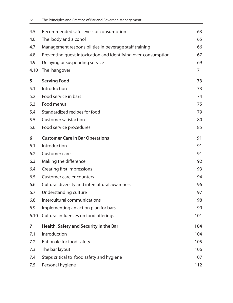<span id="page-3-0"></span>

| 4.5  | Recommended safe levels of consumption                         | 63  |
|------|----------------------------------------------------------------|-----|
| 4.6  | The body and alcohol                                           | 65  |
| 4.7  | Management responsibilities in beverage staff training         | 66  |
| 4.8  | Preventing quest intoxication and identifying over-consumption | 67  |
| 4.9  | Delaying or suspending service                                 | 69  |
| 4.10 | The hangover                                                   | 71  |
| 5    | <b>Serving Food</b>                                            | 73  |
| 5.1  | Introduction                                                   | 73  |
| 5.2  | Food service in bars                                           | 74  |
| 5.3  | Food menus                                                     | 75  |
| 5.4  | Standardized recipes for food                                  | 79  |
| 5.5  | <b>Customer satisfaction</b>                                   | 80  |
| 5.6  | Food service procedures                                        | 85  |
| 6    | <b>Customer Care in Bar Operations</b>                         | 91  |
| 6.1  | Introduction                                                   | 91  |
| 6.2  | Customer care                                                  | 91  |
| 6.3  | Making the difference                                          | 92  |
| 6.4  | Creating first impressions                                     | 93  |
| 6.5  | Customer care encounters                                       | 94  |
| 6.6  | Cultural diversity and intercultural awareness                 | 96  |
| 6.7  | Understanding culture                                          | 97  |
| 6.8  | Intercultural communications                                   | 98  |
| 6.9  | Implementing an action plan for bars                           | 99  |
| 6.10 | Cultural influences on food offerings                          | 101 |
| 7    | Health, Safety and Security in the Bar                         | 104 |
| 7.1  | Introduction                                                   | 104 |
| 7.2  | Rationale for food safety                                      | 105 |
| 7.3  | The bar layout                                                 | 106 |
| 7.4  | Steps critical to food safety and hygiene                      | 107 |
| 7.5  | Personal hygiene                                               | 112 |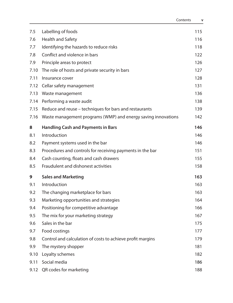<span id="page-4-0"></span>

| 7.5  | Labelling of foods                                            | 115 |
|------|---------------------------------------------------------------|-----|
| 7.6  | Health and Safety                                             | 116 |
| 7.7  | Identifying the hazards to reduce risks                       | 118 |
| 7.8  | Conflict and violence in bars                                 | 122 |
| 7.9  | Principle areas to protect                                    | 126 |
| 7.10 | The role of hosts and private security in bars                | 127 |
| 7.11 | Insurance cover                                               | 128 |
| 7.12 | Cellar safety management                                      | 131 |
|      | 7.13 Waste management                                         | 136 |
| 7.14 | Performing a waste audit                                      | 138 |
| 7.15 | Reduce and reuse – techniques for bars and restaurants        | 139 |
| 7.16 | Waste management programs (WMP) and energy saving innovations | 142 |
| 8    | <b>Handling Cash and Payments in Bars</b>                     | 146 |
| 8.1  | Introduction                                                  | 146 |
| 8.2  | Payment systems used in the bar                               | 146 |
| 8.3  | Procedures and controls for receiving payments in the bar     | 151 |
| 8.4  | Cash counting, floats and cash drawers                        | 155 |
| 8.5  | Fraudulent and dishonest activities                           | 158 |
| 9    | <b>Sales and Marketing</b>                                    | 163 |
| 9.1  | Introduction                                                  | 163 |
| 9.2  | The changing marketplace for bars                             | 163 |
| 9.3  | Marketing opportunities and strategies                        | 164 |
| 9.4  | Positioning for competitive advantage                         | 166 |
| 9.5  | The mix for your marketing strategy                           | 167 |
| 9.6  | Sales in the bar                                              | 175 |
| 9.7  | Food costings                                                 | 177 |
| 9.8  | Control and calculation of costs to achieve profit margins    | 179 |
| 9.9  | The mystery shopper                                           | 181 |
| 9.10 | Loyalty schemes                                               | 182 |
| 9.11 | Social media                                                  | 186 |
| 9.12 | QR codes for marketing                                        | 188 |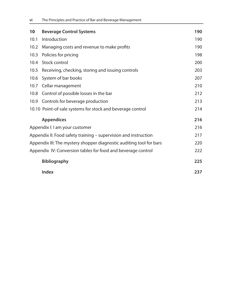<span id="page-5-0"></span>

| 10                                                                  | <b>Beverage Control Systems</b>                              | 190 |
|---------------------------------------------------------------------|--------------------------------------------------------------|-----|
| 10.1                                                                | Introduction                                                 | 190 |
| 10.2                                                                | Managing costs and revenue to make profits                   | 190 |
| 10.3                                                                | Policies for pricing                                         | 198 |
|                                                                     | 10.4 Stock control                                           | 200 |
| 10.5                                                                | Receiving, checking, storing and issuing controls            | 203 |
|                                                                     | 10.6 System of bar books                                     | 207 |
|                                                                     | 10.7 Cellar management                                       | 210 |
|                                                                     | 10.8 Control of possible losses in the bar                   | 212 |
|                                                                     | 10.9 Controls for beverage production                        | 213 |
|                                                                     | 10.10 Point-of-sale systems for stock and beverage control   | 214 |
|                                                                     | <b>Appendices</b>                                            | 216 |
|                                                                     | Appendix I: I am your customer                               | 216 |
| Appendix II: Food safety training – supervision and instruction     |                                                              | 217 |
| Appendix III: The mystery shopper diagnostic auditing tool for bars |                                                              | 220 |
|                                                                     | Appendix IV: Conversion tables for food and beverage control | 222 |
|                                                                     | <b>Bibliography</b>                                          | 225 |
|                                                                     | <b>Index</b>                                                 | 237 |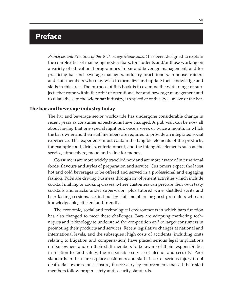## <span id="page-6-0"></span>**Preface**

*Principles and Practices of Bar & Beverage Management* has been designed to explain the complexities of managing modern bars, for students and/or those working on a variety of educational programmes in bar and beverage management, and for practicing bar and beverage managers, industry practitioners, in-house trainers and staff members who may wish to formalize and update their knowledge and skills in this area. The purpose of this book is to examine the wide range of subjects that come within the orbit of operational bar and beverage management and to relate these to the wider bar industry, irrespective of the style or size of the bar.

#### **The bar and beverage industry today**

The bar and beverage sector worldwide has undergone considerable change in recent years as consumer expectations have changed. A pub visit can be now all about having that one special night out, once a week or twice a month, in which the bar owner and their staff members are required to provide an integrated social experience. This experience must contain the tangible elements of the products, for example food, drinks, entertainment, and the intangible elements such as the service, atmosphere, mood and value for money.

Consumers are more widely travelled now and are more aware of international foods, flavours and styles of preparation and service. Customers expect the latest hot and cold beverages to be offered and served in a professional and engaging fashion. Pubs are driving business through involvement activities which include cocktail making or cooking classes, where customers can prepare their own tasty cocktails and snacks under supervision, plus tutored wine, distilled sprits and beer tasting sessions, carried out by staff members or guest presenters who are knowledgeable, efficient and friendly.

The economic, social and technological environments in which bars function has also changed to meet these challenges. Bars are adopting marketing techniques and technology to understand the competition and to target consumers in promoting their products and services. Recent legislative changes at national and international levels, and the subsequent high costs of accidents (including costs relating to litigation and compensation) have placed serious legal implications on bar owners and on their staff members to be aware of their responsibilities in relation to food safety, the responsible service of alcohol and security. Poor standards in these areas place customers and staff at risk of serious injury if not death. Bar owners must ensure, if necessary by enforcement, that all their staff members follow proper safety and security standards.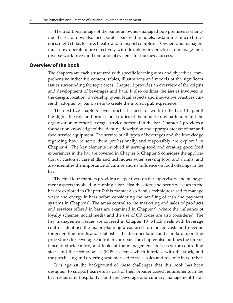<span id="page-7-0"></span>The traditional image of the bar as an owner-managed pub premises is changing, the sector now also incorporates bars within hotels, restaurants, micro breweries, night clubs, leisure, theatre and transport complexes. Owners and managers must now operate more effectively with flexible work practices to manage their diverse workforces and operational systems for business success.

#### **Overview of the book**

The chapters are each structured with specific learning aims and objectives, comprehensive indicative content, tables, illustrations and models of the significant issues surrounding the topic areas. Chapter 1 provides an overview of the origins and development of beverages and bars. It also outlines the issues involved in the design, location, ownership types, legal aspects and innovative practices currently adopted by bar owners to create the modern pub experience.

The next five chapters cover practical aspects of work in the bar. Chapter 2 highlights the role and professional duties of the modern day bartender and the organization of other beverage service personal in the bar. Chapter 3 provides a foundation knowledge of the identity, description and appropriate use of bar and food service equipment. The service of all types of beverages and the knowledge regarding how to serve them professionally and responsibly are explored in Chapter 4. The key elements involved in serving food and creating good food experiences in the bar are covered in Chapter 5. Chapter 6 considers the application of customer care skills and techniques when serving food and drinks, and also identifies the importance of culture and its influence on food offerings in the bar.

The final four chapters provide a deeper focus on the supervisory and management aspects involved in running a bar. Health, safety and security issues in the bar are explored in Chapter 7; this chapter also details techniques used to manage waste and energy in bars before considering the handling of cash and payment systems in Chapter 8. The areas central to the marketing and sales of products and services offered in bars are examined in Chapter 9, where the influence of loyalty schemes, social media and the use of QR codes are also considered. The key management issues are covered in Chapter 10, which deals with beverage control, identifies the major planning areas used to manage costs and revenue for generating profits and establishes the documentation and standard operating procedures for beverage control in your bar. The chapter also outlines the importance of stock control, and looks at the management tools used for controlling stock and the technological (POS) systems which interface with the stock, and the purchasing and ordering systems used to track sales and revenue in your bar.

It is against the background of these challenges that this book has been designed, to support learners as part of their broader based requirements in the bar, restaurant, hospitality, food and beverage and culinary management fields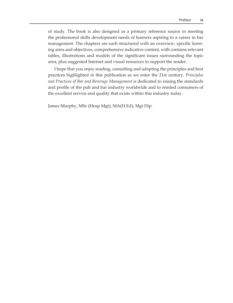<span id="page-8-0"></span>of study. The book is also designed as a primary reference source in meeting the professional skills development needs of learners aspiring to a career in bar management. The chapters are each structured with an overview, specific learning aims and objectives, comprehensive indicative content, with contains relevant tables, illustrations and models of the significant issues surrounding the topic area, plus suggested Internet and visual resources to support the reader.

I hope that you enjoy reading, consulting and adopting the principles and best practices highlighted in this publication as we enter the 21st century. *Principles and Practices of Bar and Beverage Management* is dedicated to raising the standards and profile of the pub and bar industry worldwide and to remind consumers of the excellent service and quality that exists within this industry today.

James Murphy, MSc (Hosp Mgt), MA(H.Ed), Mgt Dip.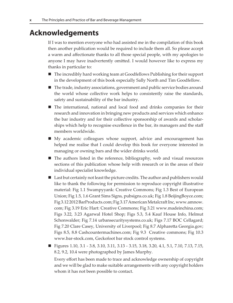## <span id="page-9-0"></span>**Acknowledgements**

If I was to mention everyone who had assisted me in the compilation of this book then another publication would be required to include them all. So please accept a warm and affectionate thanks to all those special people, with my apologies to anyone I may have inadvertently omitted. I would however like to express my thanks in particular to:

- The incredibly hard working team at Goodfellows Publishing for their support in the development of this book especially Sally North and Tim Goodfellow.
- The trade, industry associations, government and public service bodies around the world whose collective work helps to consistently raise the standards, safety and sustainability of the bar industry.
- The international, national and local food and drinks companies for their research and innovation in bringing new products and services which enhance the bar industry and for their collective sponsorship of awards and scholarships which help to recognise excellence in the bar, its managers and the staff members worldwide.
- My academic colleagues whose support, advice and encouragement has helped me realise that I could develop this book for everyone interested in managing or owning bars and the wider drinks world.
- The authors listed in the reference, bibliography, web and visual resources sections of this publication whose help with research or in the areas of their individual specialist knowledge.
- Last but certainly not least the picture credits. The author and publishers would like to thank the following for permission to reproduce copyright illustrative material: Fig 1.1 Swampyyank: Creative Commons; Fig 1.3 Best of European Union; Fig 1.5, 1.6 Grant Sims Signs, pubsigns.co.uk; Fig 1.8 BeijingBoyce.com; Fig 3.12 2012 BarProducts.com; Fig 3.17 American Metalcraft Inc, www.amnow. com; Fig 3.19 Eric Hart: Creative Commons; Fig 3.21 www.madeinchina.com; Figs 3.22, 3.23 Agarwal Hotel Shop; Figs 5.3, 5.4 Kauf House Info, Helmut Schonwalder; Fig 7.14 urbansecuritysystems.co.uk; Figs 7.17 BOC Cellagard; Fig 7.20 Clare Casey, University of Liverpool; Fig 8.7 Alpharetta Georgia.gov; Figs 8.5, 8.8 Cashcountermachines.com; Fig 9.3 Creative commons; Fig 10.3 www.bar-stock.com, Geckofoot bar stock control systems.
- Figures 1.10, 3.1 3.8, 3.10, 3.11, 3.13 3.15, 3.18, 3.20, 4.1, 5.1, 7.10, 7.13, 7.15, 8.2, 9.2, 10.4 were photographed by James Murphy.

Every effort has been made to trace and acknowledge ownership of copyright and we will be glad to make suitable arrangements with any copyright holders whom it has not been possible to contact.